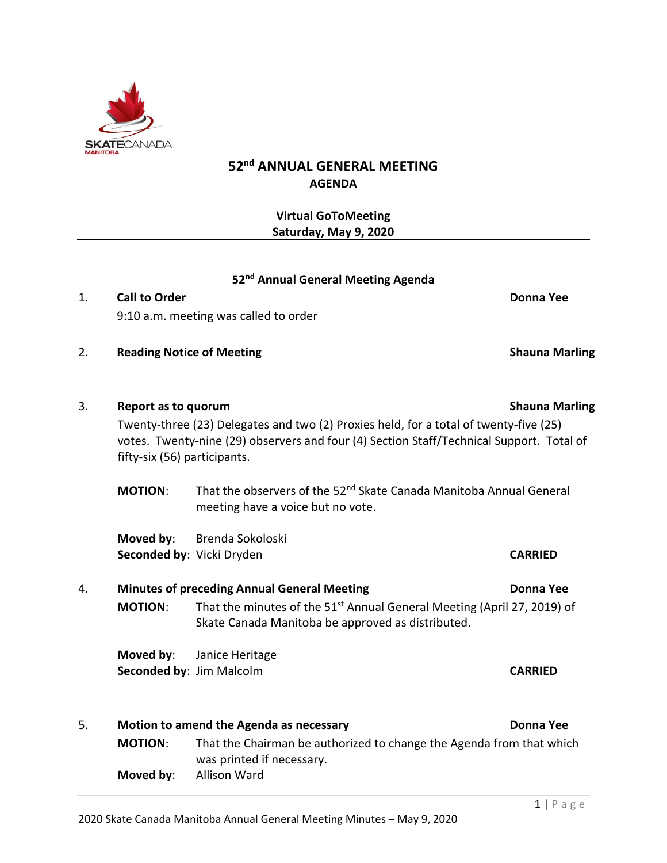

# **52nd ANNUAL GENERAL MEETING AGENDA**

**Virtual GoToMeeting Saturday, May 9, 2020**

### **52 nd Annual General Meeting Agenda**

- 1. **Call to Order Donna Yee** 9:10 a.m. meeting was called to order
- 2. **Reading Notice of Meeting Shauna Marling**
- 3. **Report as to quorum Shauna Marling** Twenty-three (23) Delegates and two (2) Proxies held, for a total of twenty-five (25) votes. Twenty-nine (29) observers and four (4) Section Staff/Technical Support. Total of fifty-six (56) participants.

**MOTION:** That the observers of the 52<sup>nd</sup> Skate Canada Manitoba Annual General meeting have a voice but no vote.

**Moved by**: Brenda Sokoloski **Seconded by**: Vicki Dryden **CARRIED CARRIED** 

## 4. **Minutes of preceding Annual General Meeting Donna Yee MOTION:** That the minutes of the 51<sup>st</sup> Annual General Meeting (April 27, 2019) of Skate Canada Manitoba be approved as distributed.

**Moved by**: Janice Heritage **Seconded by**: Jim Malcolm **CARRIED** 

5. **Motion to amend the Agenda as necessary Donna Yee MOTION**: That the Chairman be authorized to change the Agenda from that which was printed if necessary. **Moved by**: Allison Ward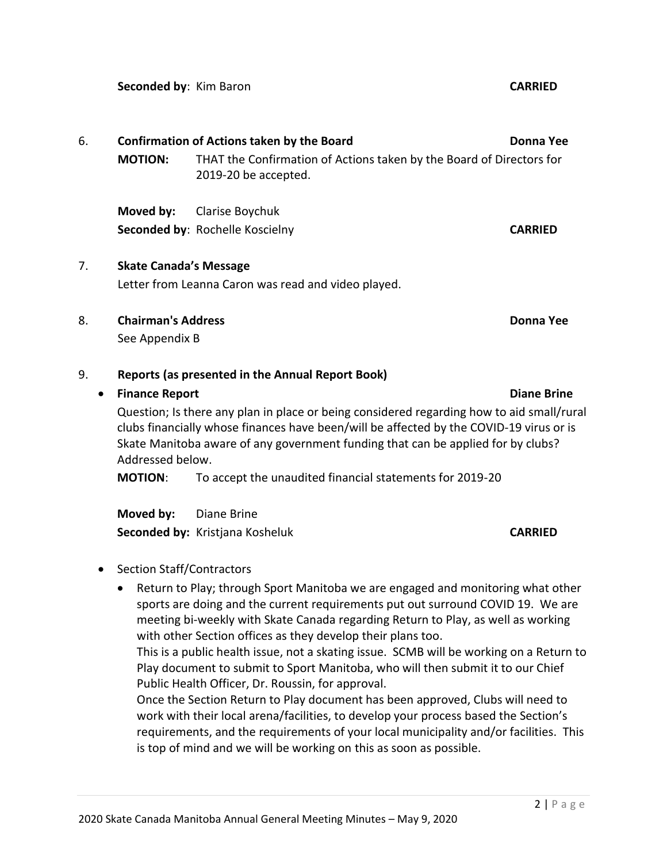**Seconded by**: Kim Baron **CARRIED**

**MOTION:** THAT the Confirmation of Actions taken by the Board of Directors for 2019-20 be accepted. **Moved by:** Clarise Boychuk **Seconded by**: Rochelle Koscielny **CARRIED** 7. **Skate Canada's Message** Letter from Leanna Caron was read and video played.

6. **Confirmation of Actions taken by the Board Donna Yee**

- 
- 8. **Chairman's Address Donna Yee**

See Appendix B

## 9. **Reports (as presented in the Annual Report Book)**

## • **Finance Report Diane Brine**

Question; Is there any plan in place or being considered regarding how to aid small/rural clubs financially whose finances have been/will be affected by the COVID-19 virus or is Skate Manitoba aware of any government funding that can be applied for by clubs? Addressed below.

**MOTION**: To accept the unaudited financial statements for 2019-20

**Moved by:** Diane Brine **Seconded by:** Kristjana Kosheluk **CARRIED** 

- Section Staff/Contractors
	- Return to Play; through Sport Manitoba we are engaged and monitoring what other sports are doing and the current requirements put out surround COVID 19. We are meeting bi-weekly with Skate Canada regarding Return to Play, as well as working with other Section offices as they develop their plans too.

This is a public health issue, not a skating issue. SCMB will be working on a Return to Play document to submit to Sport Manitoba, who will then submit it to our Chief Public Health Officer, Dr. Roussin, for approval.

Once the Section Return to Play document has been approved, Clubs will need to work with their local arena/facilities, to develop your process based the Section's requirements, and the requirements of your local municipality and/or facilities. This is top of mind and we will be working on this as soon as possible.

 $2$  | P a g e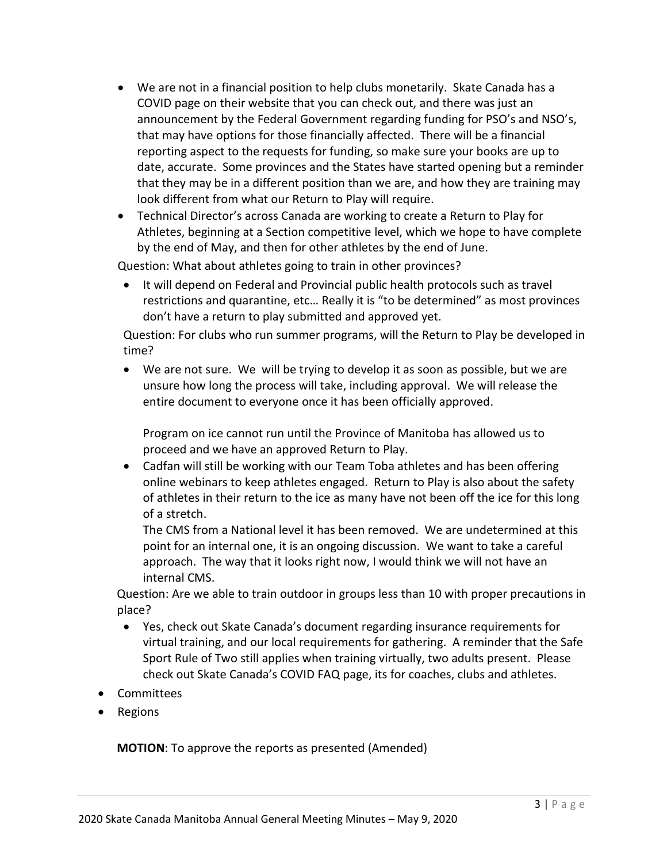- We are not in a financial position to help clubs monetarily. Skate Canada has a COVID page on their website that you can check out, and there was just an announcement by the Federal Government regarding funding for PSO's and NSO's, that may have options for those financially affected. There will be a financial reporting aspect to the requests for funding, so make sure your books are up to date, accurate. Some provinces and the States have started opening but a reminder that they may be in a different position than we are, and how they are training may look different from what our Return to Play will require.
- Technical Director's across Canada are working to create a Return to Play for Athletes, beginning at a Section competitive level, which we hope to have complete by the end of May, and then for other athletes by the end of June.

Question: What about athletes going to train in other provinces?

• It will depend on Federal and Provincial public health protocols such as travel restrictions and quarantine, etc… Really it is "to be determined" as most provinces don't have a return to play submitted and approved yet.

Question: For clubs who run summer programs, will the Return to Play be developed in time?

• We are not sure. We will be trying to develop it as soon as possible, but we are unsure how long the process will take, including approval. We will release the entire document to everyone once it has been officially approved.

Program on ice cannot run until the Province of Manitoba has allowed us to proceed and we have an approved Return to Play.

• Cadfan will still be working with our Team Toba athletes and has been offering online webinars to keep athletes engaged. Return to Play is also about the safety of athletes in their return to the ice as many have not been off the ice for this long of a stretch.

The CMS from a National level it has been removed. We are undetermined at this point for an internal one, it is an ongoing discussion. We want to take a careful approach. The way that it looks right now, I would think we will not have an internal CMS.

Question: Are we able to train outdoor in groups less than 10 with proper precautions in place?

- Yes, check out Skate Canada's document regarding insurance requirements for virtual training, and our local requirements for gathering. A reminder that the Safe Sport Rule of Two still applies when training virtually, two adults present. Please check out Skate Canada's COVID FAQ page, its for coaches, clubs and athletes.
- Committees
- Regions

**MOTION**: To approve the reports as presented (Amended)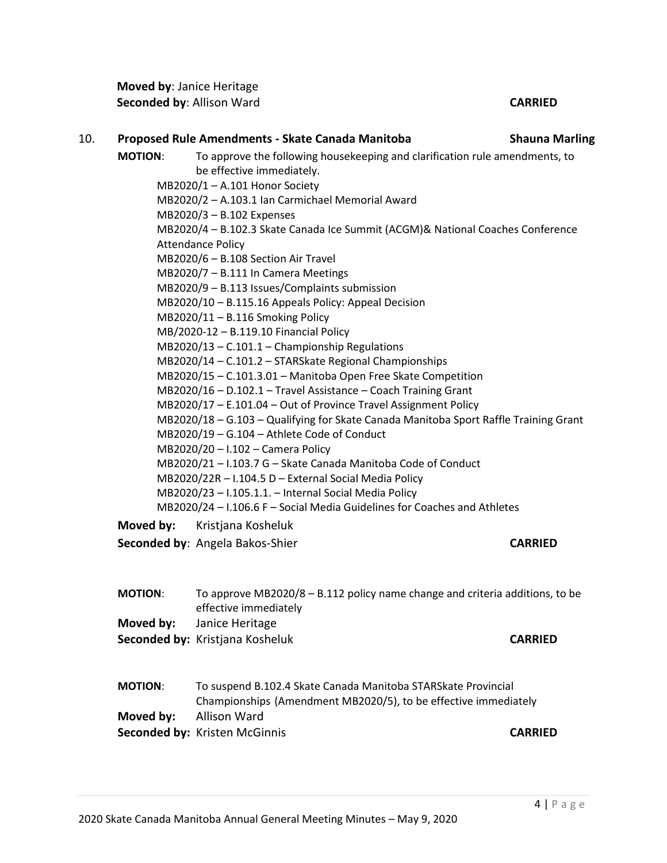**Moved by**: Janice Heritage **Seconded by**: Allison Ward **CARRIED**

## **MOTION**: To approve the following housekeeping and clarification rule amendments, to be effective immediately. MB2020/1 – A.101 Honor Society MB2020/2 – A.103.1 Ian Carmichael Memorial Award MB2020/3 – B.102 Expenses MB2020/4 – B.102.3 Skate Canada Ice Summit (ACGM)& National Coaches Conference Attendance Policy MB2020/6 – B.108 Section Air Travel MB2020/7 – B.111 In Camera Meetings MB2020/9 – B.113 Issues/Complaints submission MB2020/10 – B.115.16 Appeals Policy: Appeal Decision MB2020/11 – B.116 Smoking Policy MB/2020-12 – B.119.10 Financial Policy MB2020/13 – C.101.1 – Championship Regulations MB2020/14 – C.101.2 – STARSkate Regional Championships MB2020/15 – C.101.3.01 – Manitoba Open Free Skate Competition MB2020/16 – D.102.1 – Travel Assistance – Coach Training Grant MB2020/17 – E.101.04 – Out of Province Travel Assignment Policy MB2020/18 – G.103 – Qualifying for Skate Canada Manitoba Sport Raffle Training Grant MB2020/19 – G.104 – Athlete Code of Conduct MB2020/20 – I.102 – Camera Policy MB2020/21 – I.103.7 G – Skate Canada Manitoba Code of Conduct MB2020/22R – I.104.5 D – External Social Media Policy MB2020/23 – I.105.1.1. – Internal Social Media Policy MB2020/24 – I.106.6 F – Social Media Guidelines for Coaches and Athletes **Moved by:** Kristjana Kosheluk

- **Seconded by**: Angela Bakos-Shier **CARRIED CARRIED**
- **MOTION**: To approve MB2020/8 B.112 policy name change and criteria additions, to be effective immediately **Moved by:** Janice Heritage **Seconded by:** Kristjana Kosheluk **CARRIED**
- **MOTION**: To suspend B.102.4 Skate Canada Manitoba STARSkate Provincial Championships (Amendment MB2020/5), to be effective immediately **Moved by:** Allison Ward **Seconded by:** Kristen McGinnis **CARRIED**

10. **Proposed Rule Amendments - Skate Canada Manitoba Shauna Marling**

 $4 | P \text{ a g e}$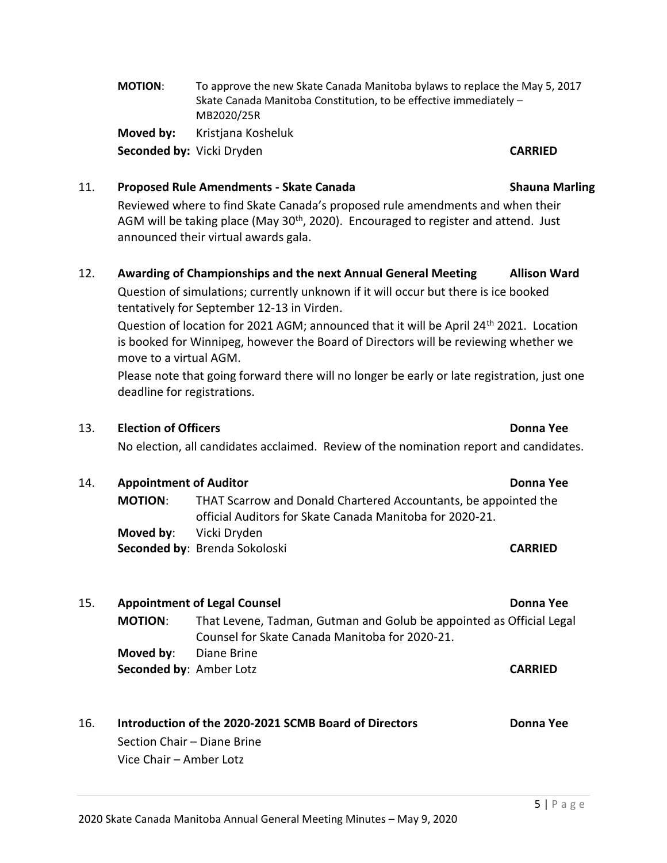## **MOTION**: To approve the new Skate Canada Manitoba bylaws to replace the May 5, 2017 Skate Canada Manitoba Constitution, to be effective immediately – MB2020/25R **Moved by:** Kristjana Kosheluk

**Seconded by:** Vicki Dryden **CARRIED**

# 11. **Proposed Rule Amendments - Skate Canada Shauna Marling**

Reviewed where to find Skate Canada's proposed rule amendments and when their AGM will be taking place (May  $30<sup>th</sup>$ , 2020). Encouraged to register and attend. Just announced their virtual awards gala.

# 12. **Awarding of Championships and the next Annual General Meeting Allison Ward**

Question of simulations; currently unknown if it will occur but there is ice booked tentatively for September 12-13 in Virden.

Question of location for 2021 AGM; announced that it will be April 24<sup>th</sup> 2021. Location is booked for Winnipeg, however the Board of Directors will be reviewing whether we move to a virtual AGM.

Please note that going forward there will no longer be early or late registration, just one deadline for registrations.

# 13. **Election of Officers Donna Yee**

No election, all candidates acclaimed. Review of the nomination report and candidates.

# 14. **Appointment of Auditor Donna Yee**

**MOTION**: THAT Scarrow and Donald Chartered Accountants, be appointed the official Auditors for Skate Canada Manitoba for 2020-21. **Moved by**: Vicki Dryden **Seconded by**: Brenda Sokoloski **CARRIED**

## 15. **Appointment of Legal Counsel Donna Yee MOTION**: That Levene, Tadman, Gutman and Golub be appointed as Official Legal Counsel for Skate Canada Manitoba for 2020-21. **Moved by**: Diane Brine **Seconded by**: Amber Lotz **CARRIED**

## 16. **Introduction of the 2020-2021 SCMB Board of Directors Donna Yee** Section Chair – Diane Brine

Vice Chair – Amber Lotz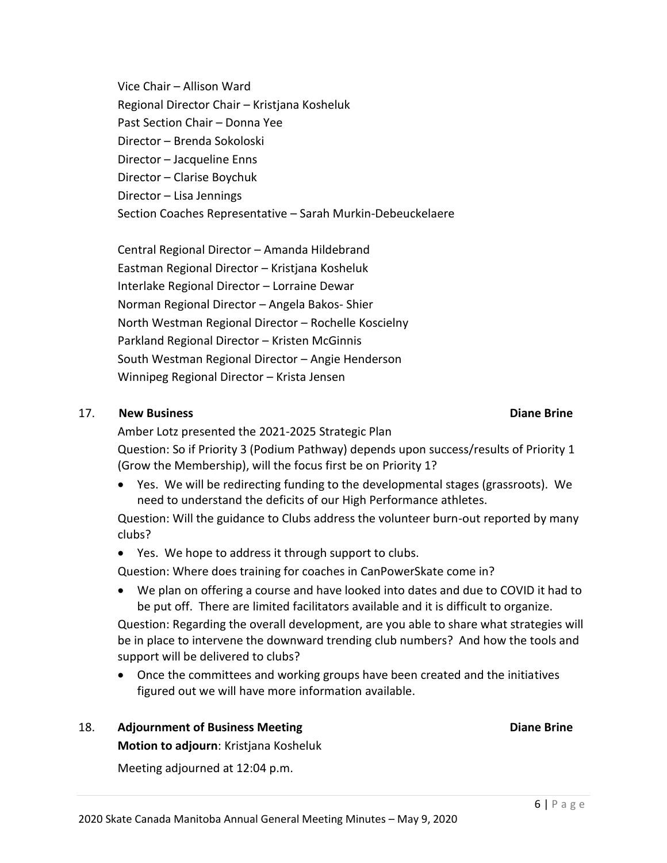Vice Chair – Allison Ward Regional Director Chair – Kristjana Kosheluk Past Section Chair – Donna Yee Director – Brenda Sokoloski Director – Jacqueline Enns Director – Clarise Boychuk Director – Lisa Jennings Section Coaches Representative – Sarah Murkin-Debeuckelaere

Central Regional Director – Amanda Hildebrand Eastman Regional Director – Kristjana Kosheluk Interlake Regional Director – Lorraine Dewar Norman Regional Director – Angela Bakos- Shier North Westman Regional Director – Rochelle Koscielny Parkland Regional Director – Kristen McGinnis South Westman Regional Director – Angie Henderson Winnipeg Regional Director – Krista Jensen

## 17. **New Business Diane Brine**

Amber Lotz presented the 2021-2025 Strategic Plan Question: So if Priority 3 (Podium Pathway) depends upon success/results of Priority 1 (Grow the Membership), will the focus first be on Priority 1?

• Yes. We will be redirecting funding to the developmental stages (grassroots). We need to understand the deficits of our High Performance athletes.

Question: Will the guidance to Clubs address the volunteer burn-out reported by many clubs?

• Yes. We hope to address it through support to clubs.

Question: Where does training for coaches in CanPowerSkate come in?

• We plan on offering a course and have looked into dates and due to COVID it had to be put off. There are limited facilitators available and it is difficult to organize.

Question: Regarding the overall development, are you able to share what strategies will be in place to intervene the downward trending club numbers? And how the tools and support will be delivered to clubs?

• Once the committees and working groups have been created and the initiatives figured out we will have more information available.

## 18. **Adjournment of Business Meeting Diane Brine**

**Motion to adjourn**: Kristjana Kosheluk

Meeting adjourned at 12:04 p.m.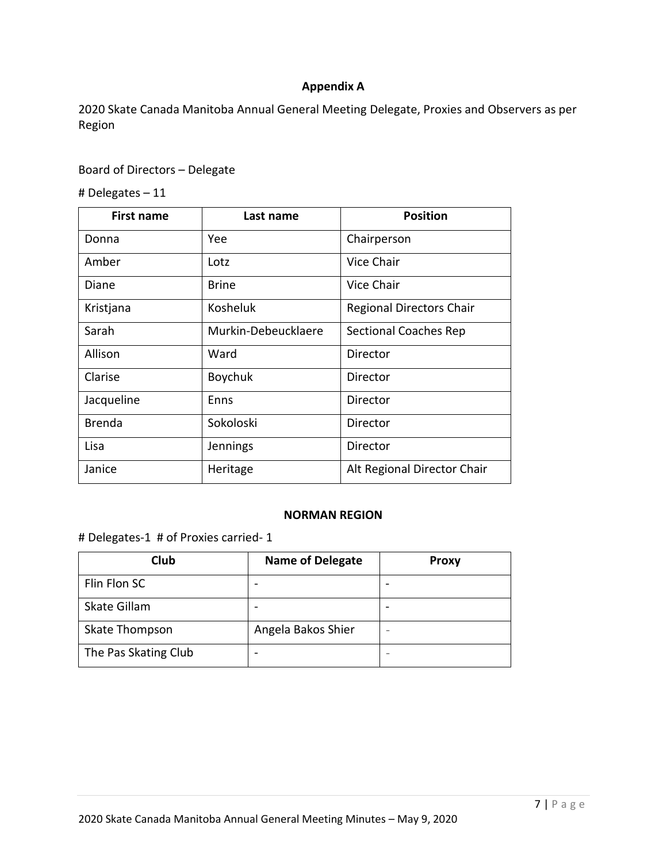## **Appendix A**

2020 Skate Canada Manitoba Annual General Meeting Delegate, Proxies and Observers as per Region

## Board of Directors – Delegate

# Delegates – 11

| <b>First name</b> | Last name           | <b>Position</b>                 |
|-------------------|---------------------|---------------------------------|
| Donna             | Yee                 | Chairperson                     |
| Amber             | Lotz                | Vice Chair                      |
| Diane             | <b>Brine</b>        | Vice Chair                      |
| Kristjana         | Kosheluk            | <b>Regional Directors Chair</b> |
| Sarah             | Murkin-Debeucklaere | <b>Sectional Coaches Rep</b>    |
| Allison           | Ward                | Director                        |
| Clarise           | Boychuk             | Director                        |
| Jacqueline        | Enns                | Director                        |
| <b>Brenda</b>     | Sokoloski           | Director                        |
| Lisa              | Jennings            | Director                        |
| Janice            | Heritage            | Alt Regional Director Chair     |

### **NORMAN REGION**

# Delegates-1 # of Proxies carried- 1

| Club                 | <b>Name of Delegate</b> | <b>Proxy</b> |
|----------------------|-------------------------|--------------|
| Flin Flon SC         |                         |              |
| Skate Gillam         |                         |              |
| Skate Thompson       | Angela Bakos Shier      |              |
| The Pas Skating Club |                         |              |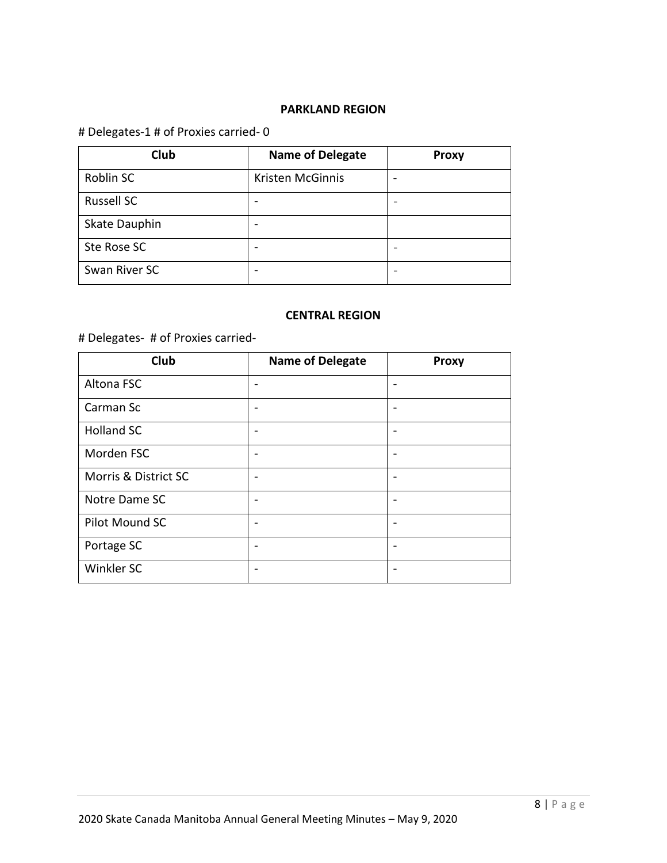## **PARKLAND REGION**

## # Delegates-1 # of Proxies carried- 0

| Club              | <b>Name of Delegate</b> | <b>Proxy</b> |
|-------------------|-------------------------|--------------|
| Roblin SC         | Kristen McGinnis        | -            |
| <b>Russell SC</b> |                         |              |
| Skate Dauphin     |                         |              |
| Ste Rose SC       |                         |              |
| Swan River SC     |                         |              |

### **CENTRAL REGION**

# # Delegates- # of Proxies carried-

| Club                 | <b>Name of Delegate</b>  | <b>Proxy</b>             |
|----------------------|--------------------------|--------------------------|
| Altona FSC           | $\overline{\phantom{0}}$ | $\overline{\phantom{0}}$ |
| Carman Sc            |                          | $\overline{\phantom{0}}$ |
| <b>Holland SC</b>    |                          | $\overline{\phantom{0}}$ |
| Morden FSC           |                          | $\overline{\phantom{0}}$ |
| Morris & District SC |                          | $\overline{\phantom{0}}$ |
| Notre Dame SC        | $\overline{\phantom{0}}$ | $\overline{\phantom{0}}$ |
| Pilot Mound SC       |                          | $\overline{\phantom{0}}$ |
| Portage SC           |                          | $\overline{\phantom{0}}$ |
| Winkler SC           |                          | ٠                        |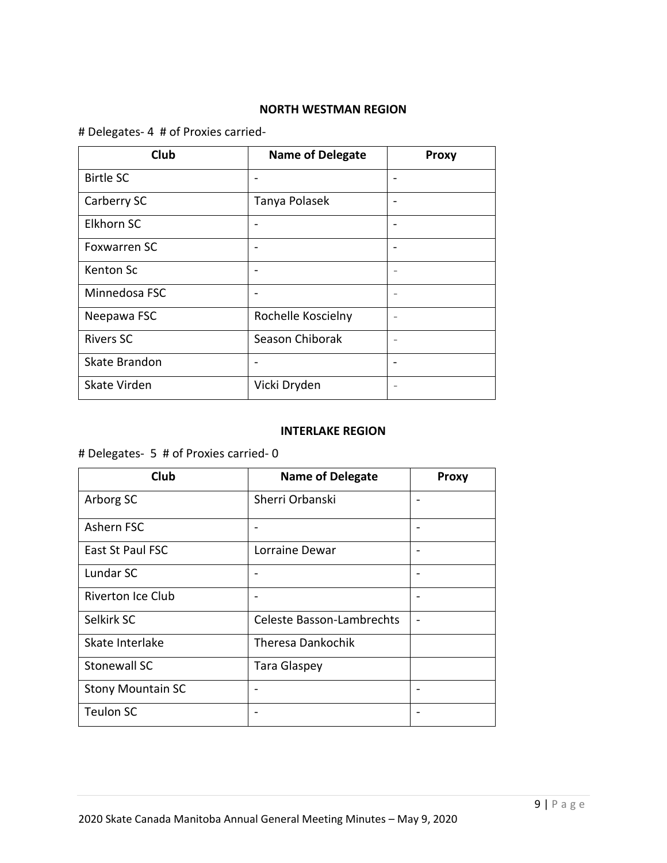## **NORTH WESTMAN REGION**

## # Delegates- 4 # of Proxies carried-

| Club                | <b>Name of Delegate</b> | <b>Proxy</b>             |
|---------------------|-------------------------|--------------------------|
| <b>Birtle SC</b>    |                         |                          |
| Carberry SC         | Tanya Polasek           | $\overline{\phantom{0}}$ |
| Elkhorn SC          |                         | $\overline{\phantom{0}}$ |
| <b>Foxwarren SC</b> |                         | ۰                        |
| Kenton Sc           |                         | $\overline{\phantom{0}}$ |
| Minnedosa FSC       |                         | $\overline{\phantom{0}}$ |
| Neepawa FSC         | Rochelle Koscielny      | $\overline{\phantom{0}}$ |
| <b>Rivers SC</b>    | Season Chiborak         | $\overline{\phantom{0}}$ |
| Skate Brandon       |                         | $\overline{\phantom{0}}$ |
| Skate Virden        | Vicki Dryden            | $\overline{\phantom{0}}$ |

### **INTERLAKE REGION**

# Delegates- 5 # of Proxies carried- 0

| Club                     | <b>Name of Delegate</b>          | <b>Proxy</b> |
|--------------------------|----------------------------------|--------------|
| Arborg SC                | Sherri Orbanski                  |              |
| Ashern FSC               |                                  |              |
| East St Paul FSC         | Lorraine Dewar                   |              |
| Lundar SC                |                                  |              |
| <b>Riverton Ice Club</b> |                                  |              |
| Selkirk SC               | <b>Celeste Basson-Lambrechts</b> |              |
| Skate Interlake          | Theresa Dankochik                |              |
| <b>Stonewall SC</b>      | <b>Tara Glaspey</b>              |              |
| <b>Stony Mountain SC</b> |                                  |              |
| <b>Teulon SC</b>         |                                  |              |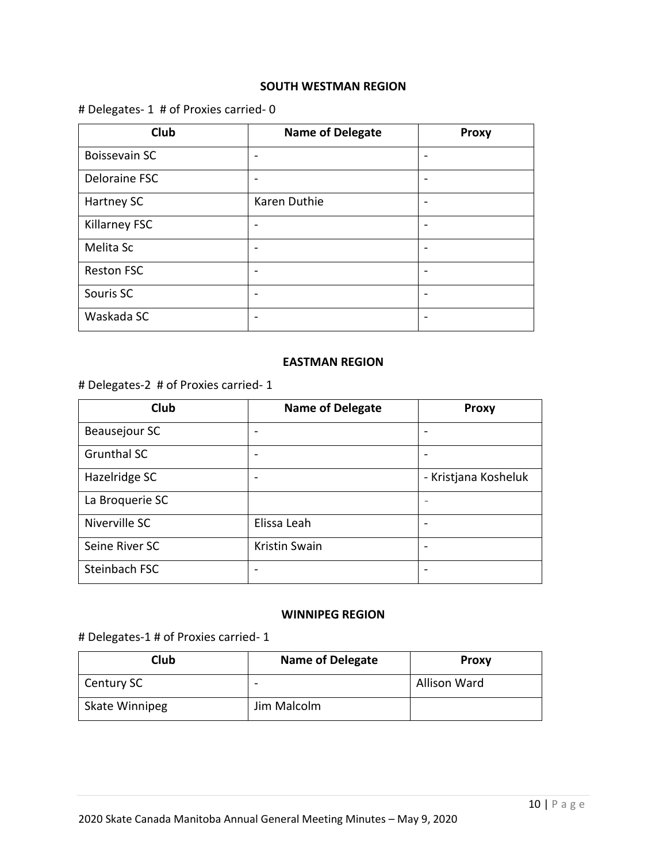### **SOUTH WESTMAN REGION**

## # Delegates- 1 # of Proxies carried- 0

| Club                 | <b>Name of Delegate</b> | <b>Proxy</b> |
|----------------------|-------------------------|--------------|
| <b>Boissevain SC</b> |                         |              |
| Deloraine FSC        |                         |              |
| Hartney SC           | Karen Duthie            |              |
| Killarney FSC        |                         |              |
| Melita Sc            |                         |              |
| <b>Reston FSC</b>    |                         |              |
| Souris SC            |                         |              |
| Waskada SC           |                         |              |

### **EASTMAN REGION**

## # Delegates-2 # of Proxies carried- 1

| Club               | <b>Name of Delegate</b> | <b>Proxy</b>         |
|--------------------|-------------------------|----------------------|
| Beausejour SC      |                         |                      |
| <b>Grunthal SC</b> |                         |                      |
| Hazelridge SC      |                         | - Kristjana Kosheluk |
| La Broquerie SC    |                         |                      |
| Niverville SC      | Elissa Leah             |                      |
| Seine River SC     | <b>Kristin Swain</b>    |                      |
| Steinbach FSC      |                         |                      |

### **WINNIPEG REGION**

## # Delegates-1 # of Proxies carried- 1

| Club                  | <b>Name of Delegate</b> | <b>Proxy</b> |
|-----------------------|-------------------------|--------------|
| Century SC            | -                       | Allison Ward |
| <b>Skate Winnipeg</b> | Jim Malcolm             |              |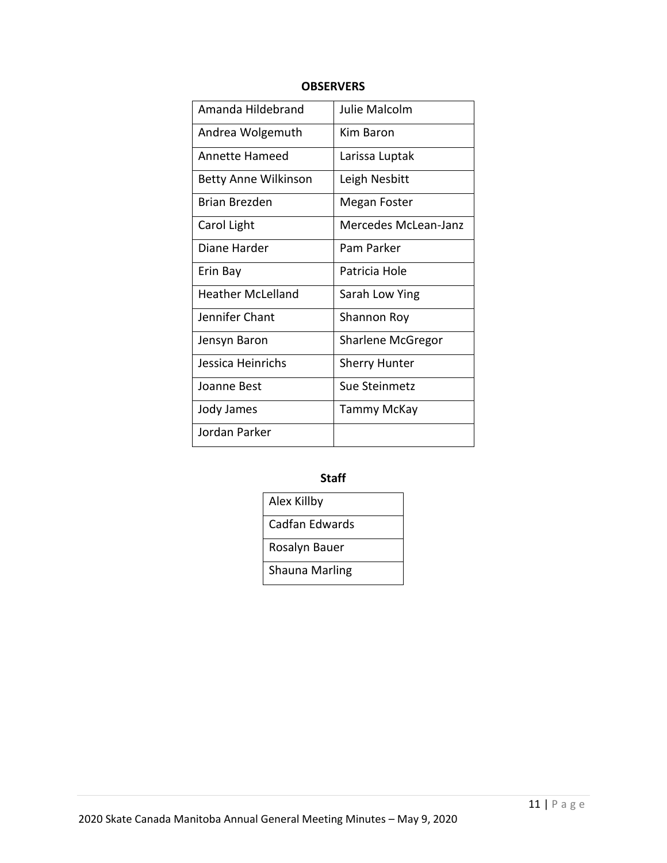| Amanda Hildebrand           | <b>Julie Malcolm</b>     |
|-----------------------------|--------------------------|
| Andrea Wolgemuth            | Kim Baron                |
| Annette Hameed              | Larissa Luptak           |
| <b>Betty Anne Wilkinson</b> | Leigh Nesbitt            |
| Brian Brezden               | Megan Foster             |
| Carol Light                 | Mercedes McLean-Janz     |
| Diane Harder                | Pam Parker               |
| Erin Bay                    | Patricia Hole            |
| Heather McLelland           | Sarah Low Ying           |
| Jennifer Chant              | Shannon Roy              |
| Jensyn Baron                | <b>Sharlene McGregor</b> |
| Jessica Heinrichs           | <b>Sherry Hunter</b>     |
| Joanne Best                 | Sue Steinmetz            |
| Jody James                  | Tammy McKay              |
| Jordan Parker               |                          |

## **OBSERVERS**

## **Staff**

| Alex Killby           |
|-----------------------|
| Cadfan Edwards        |
| Rosalyn Bauer         |
| <b>Shauna Marling</b> |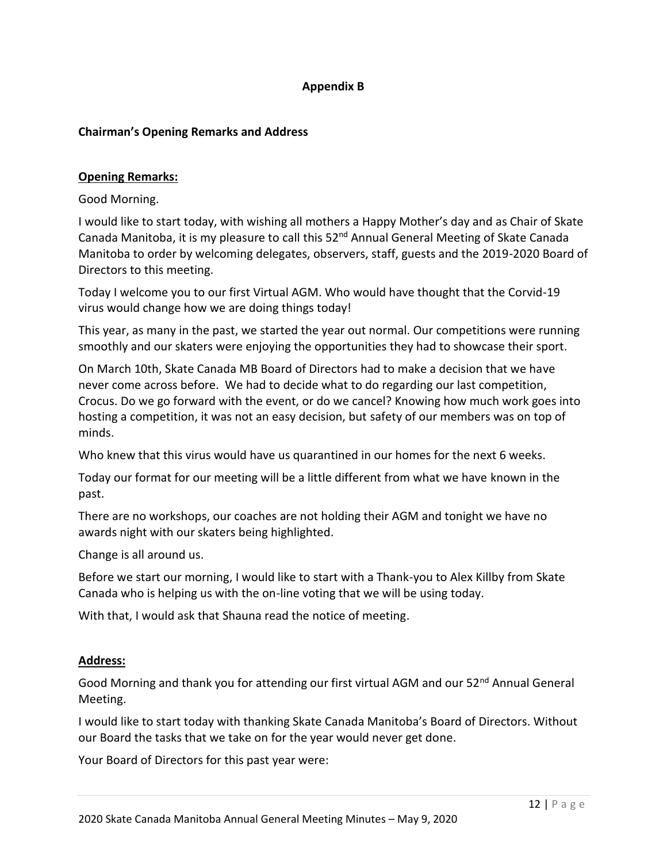## **Appendix B**

### **Chairman's Opening Remarks and Address**

### **Opening Remarks:**

Good Morning.

I would like to start today, with wishing all mothers a Happy Mother's day and as Chair of Skate Canada Manitoba, it is my pleasure to call this  $52<sup>nd</sup>$  Annual General Meeting of Skate Canada Manitoba to order by welcoming delegates, observers, staff, guests and the 2019-2020 Board of Directors to this meeting.

Today I welcome you to our first Virtual AGM. Who would have thought that the Corvid-19 virus would change how we are doing things today!

This year, as many in the past, we started the year out normal. Our competitions were running smoothly and our skaters were enjoying the opportunities they had to showcase their sport.

On March 10th, Skate Canada MB Board of Directors had to make a decision that we have never come across before. We had to decide what to do regarding our last competition, Crocus. Do we go forward with the event, or do we cancel? Knowing how much work goes into hosting a competition, it was not an easy decision, but safety of our members was on top of minds.

Who knew that this virus would have us quarantined in our homes for the next 6 weeks.

Today our format for our meeting will be a little different from what we have known in the past.

There are no workshops, our coaches are not holding their AGM and tonight we have no awards night with our skaters being highlighted.

Change is all around us.

Before we start our morning, I would like to start with a Thank-you to Alex Killby from Skate Canada who is helping us with the on-line voting that we will be using today.

With that, I would ask that Shauna read the notice of meeting.

### **Address:**

Good Morning and thank you for attending our first virtual AGM and our 52<sup>nd</sup> Annual General Meeting.

I would like to start today with thanking Skate Canada Manitoba's Board of Directors. Without our Board the tasks that we take on for the year would never get done.

Your Board of Directors for this past year were: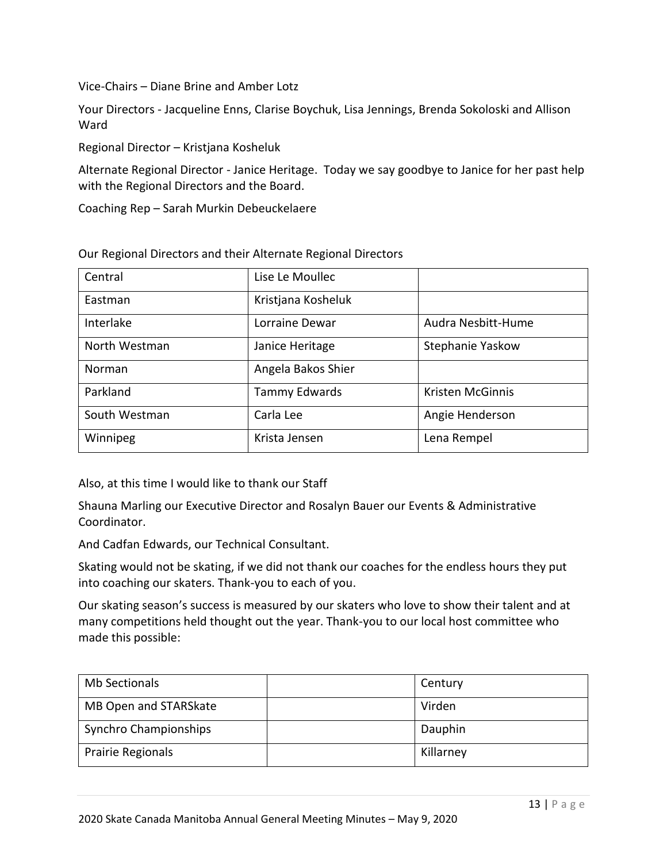Vice-Chairs – Diane Brine and Amber Lotz

Your Directors - Jacqueline Enns, Clarise Boychuk, Lisa Jennings, Brenda Sokoloski and Allison Ward

Regional Director – Kristjana Kosheluk

Alternate Regional Director - Janice Heritage. Today we say goodbye to Janice for her past help with the Regional Directors and the Board.

Coaching Rep – Sarah Murkin Debeuckelaere

| Central       | Lise Le Moullec    |                    |
|---------------|--------------------|--------------------|
| Eastman       | Kristjana Kosheluk |                    |
| Interlake     | Lorraine Dewar     | Audra Nesbitt-Hume |
| North Westman | Janice Heritage    | Stephanie Yaskow   |
| Norman        | Angela Bakos Shier |                    |
| Parkland      | Tammy Edwards      | Kristen McGinnis   |
| South Westman | Carla Lee          | Angie Henderson    |
| Winnipeg      | Krista Jensen      | Lena Rempel        |

Our Regional Directors and their Alternate Regional Directors

Also, at this time I would like to thank our Staff

Shauna Marling our Executive Director and Rosalyn Bauer our Events & Administrative Coordinator.

And Cadfan Edwards, our Technical Consultant.

Skating would not be skating, if we did not thank our coaches for the endless hours they put into coaching our skaters. Thank-you to each of you.

Our skating season's success is measured by our skaters who love to show their talent and at many competitions held thought out the year. Thank-you to our local host committee who made this possible:

| <b>Mb Sectionals</b>         | Century   |
|------------------------------|-----------|
| MB Open and STARSkate        | Virden    |
| <b>Synchro Championships</b> | Dauphin   |
| Prairie Regionals            | Killarney |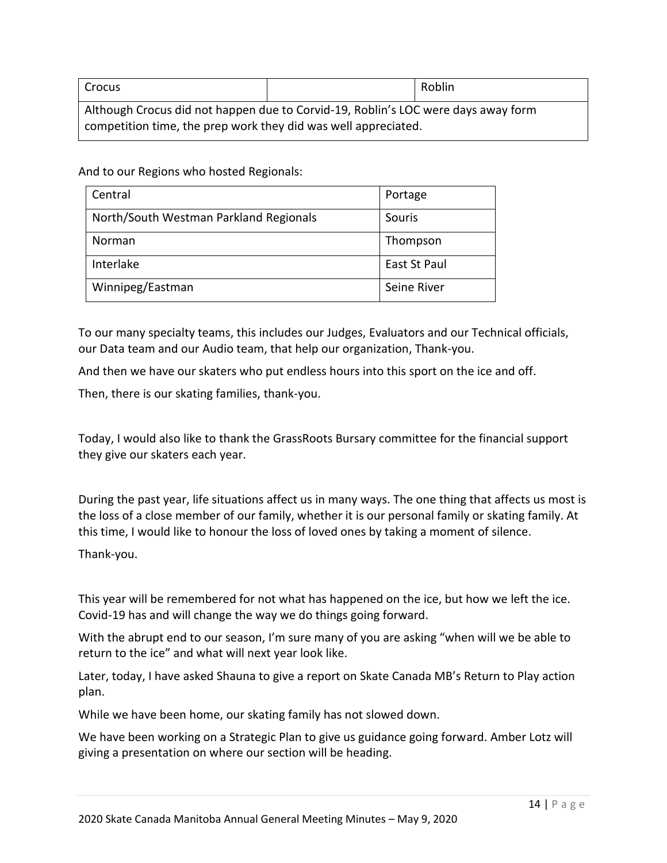| <b>Crocus</b>                                                                                                                                       |  | Roblin |
|-----------------------------------------------------------------------------------------------------------------------------------------------------|--|--------|
| Although Crocus did not happen due to Corvid-19, Roblin's LOC were days away form<br>competition time, the prep work they did was well appreciated. |  |        |

And to our Regions who hosted Regionals:

| Central                                | Portage      |
|----------------------------------------|--------------|
| North/South Westman Parkland Regionals | Souris       |
| Norman                                 | Thompson     |
| Interlake                              | East St Paul |
| Winnipeg/Eastman                       | Seine River  |

To our many specialty teams, this includes our Judges, Evaluators and our Technical officials, our Data team and our Audio team, that help our organization, Thank-you.

And then we have our skaters who put endless hours into this sport on the ice and off.

Then, there is our skating families, thank-you.

Today, I would also like to thank the GrassRoots Bursary committee for the financial support they give our skaters each year.

During the past year, life situations affect us in many ways. The one thing that affects us most is the loss of a close member of our family, whether it is our personal family or skating family. At this time, I would like to honour the loss of loved ones by taking a moment of silence.

Thank-you.

This year will be remembered for not what has happened on the ice, but how we left the ice. Covid-19 has and will change the way we do things going forward.

With the abrupt end to our season, I'm sure many of you are asking "when will we be able to return to the ice" and what will next year look like.

Later, today, I have asked Shauna to give a report on Skate Canada MB's Return to Play action plan.

While we have been home, our skating family has not slowed down.

We have been working on a Strategic Plan to give us guidance going forward. Amber Lotz will giving a presentation on where our section will be heading.